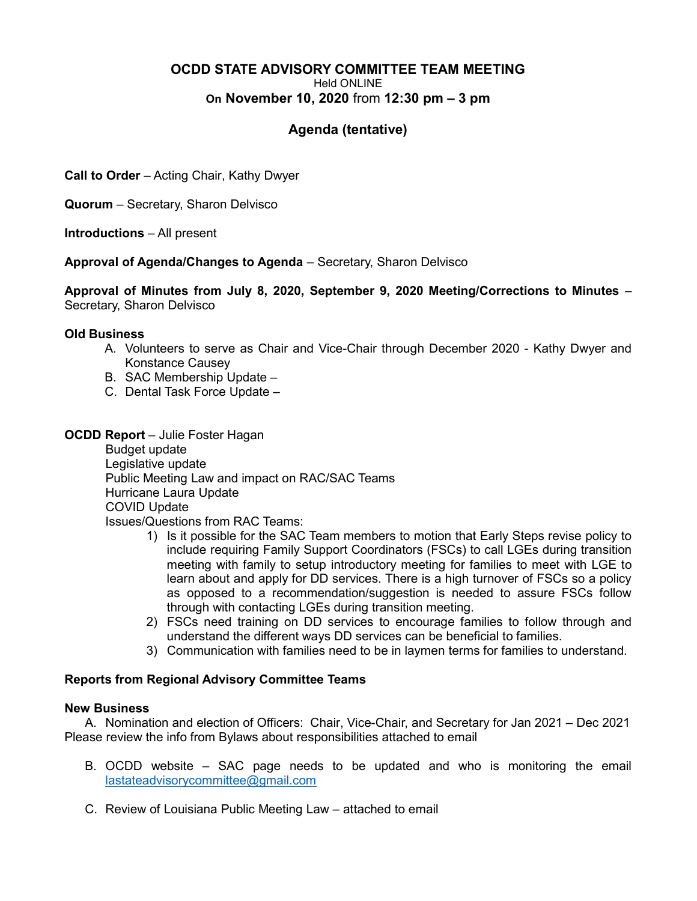#### OCDD STATE ADVISORY COMMITTEE TEAM MEETING Held ONLINE On November 10, 2020 from 12:30 pm – 3 pm

# Agenda (tentative)

Call to Order – Acting Chair, Kathy Dwyer

Quorum – Secretary, Sharon Delvisco

Introductions – All present

Approval of Agenda/Changes to Agenda – Secretary, Sharon Delvisco

Approval of Minutes from July 8, 2020, September 9, 2020 Meeting/Corrections to Minutes – Secretary, Sharon Delvisco

### Old Business

- A. Volunteers to serve as Chair and Vice-Chair through December 2020 Kathy Dwyer and Konstance Causey
- B. SAC Membership Update –
- C. Dental Task Force Update –
- **OCDD Report** Julie Foster Hagan

 Budget update Legislative update Public Meeting Law and impact on RAC/SAC Teams Hurricane Laura Update COVID Update Issues/Questions from RAC Teams:

- 1) Is it possible for the SAC Team members to motion that Early Steps revise policy to include requiring Family Support Coordinators (FSCs) to call LGEs during transition meeting with family to setup introductory meeting for families to meet with LGE to learn about and apply for DD services. There is a high turnover of FSCs so a policy as opposed to a recommendation/suggestion is needed to assure FSCs follow through with contacting LGEs during transition meeting.
- 2) FSCs need training on DD services to encourage families to follow through and understand the different ways DD services can be beneficial to families.
- 3) Communication with families need to be in laymen terms for families to understand.

## Reports from Regional Advisory Committee Teams

### New Business

A. Nomination and election of Officers: Chair, Vice-Chair, and Secretary for Jan 2021 – Dec 2021 Please review the info from Bylaws about responsibilities attached to email

- B. OCDD website SAC page needs to be updated and who is monitoring the email lastateadvisorycommittee@gmail.com
- C. Review of Louisiana Public Meeting Law attached to email